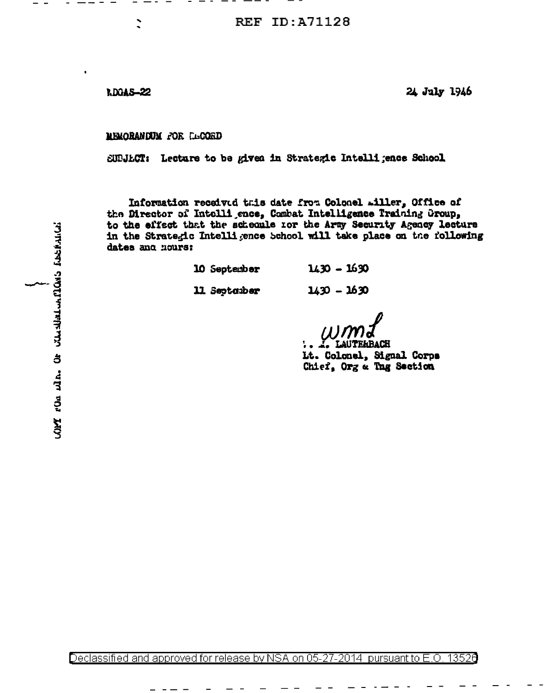**RDGAS-22** 

24 July 1946

**MEMORANDUM FOR LEGORD** 

SUPJLCT: Lecture to be given in Strategic Intelligence School

Information received this date from Colonel Aller, Office of the Director of Intelligence, Combat Intelligence Training Group. to the effect that the scheonle for the Army Security Agency lecture in the Strategic Intelligence behool will take place on the following dates and nours:

> $1430 - 1630$ 10 September 11 Septarber  $1430 - 1630$

EILBACH Lt. Colonel, Signal Corps Chief, Org a Tng Section

Declassified and approved for release by NSA on 05-27-2014 pursuant to E.O. 13526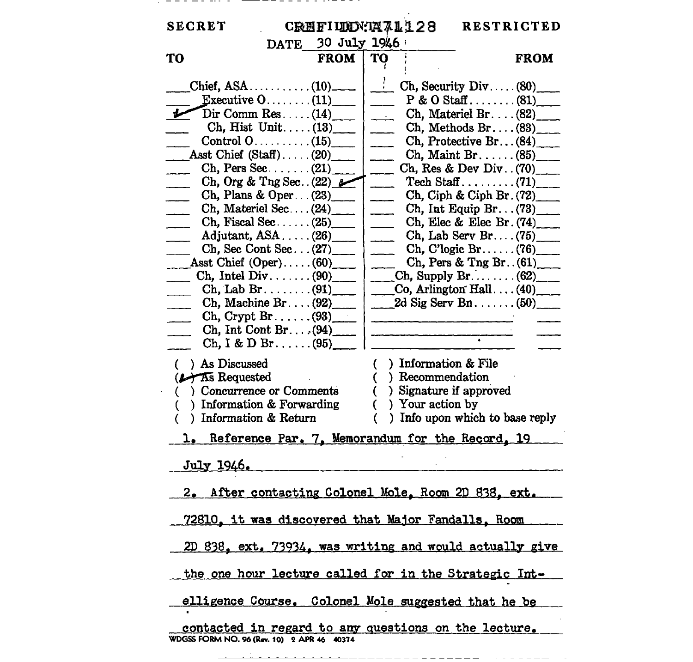## \_\_\_\_\_\_\_\_\_\_\_\_\_\_\_\_\_\_\_\_\_\_\_\_\_\_\_\_\_\_\_\_

 $\sim$ 

| <b>SECRET</b>                                                                                                                                                                                                                                                                                                                                                                                                                                                                                                                                                                                  |             | CREFIUDN:1471128                                                                 | <b>RESTRICTED</b>                                                                                                                                                                                                                                                                                                                                                                                                                                                                                    |
|------------------------------------------------------------------------------------------------------------------------------------------------------------------------------------------------------------------------------------------------------------------------------------------------------------------------------------------------------------------------------------------------------------------------------------------------------------------------------------------------------------------------------------------------------------------------------------------------|-------------|----------------------------------------------------------------------------------|------------------------------------------------------------------------------------------------------------------------------------------------------------------------------------------------------------------------------------------------------------------------------------------------------------------------------------------------------------------------------------------------------------------------------------------------------------------------------------------------------|
| DATE 30 July 1946                                                                                                                                                                                                                                                                                                                                                                                                                                                                                                                                                                              |             |                                                                                  |                                                                                                                                                                                                                                                                                                                                                                                                                                                                                                      |
| TO                                                                                                                                                                                                                                                                                                                                                                                                                                                                                                                                                                                             | <b>FROM</b> | <b>TO</b>                                                                        | <b>FROM</b>                                                                                                                                                                                                                                                                                                                                                                                                                                                                                          |
| Executive $0 \ldots \ldots (11)$<br>$Dir Comm Res. \ldots (14)$<br>Ch, Hist Unit $(13)$<br>Asst Chief (Staff)(20)<br>$Ch, Pers Sec. \ldots (21)$<br>Ch, Org & Tng Sec. $(22)$<br>Ch, Plans & Oper $\ldots$ (23)<br>Ch, Material Sec (24)<br>Ch, Fiscal Sec. $\ldots$ (25)<br>Adjutant, $ASA$ $(26)$<br>Ch, Sec Cont Sec $(27)$<br>Asst Chief $(Oper) \ldots (60)$<br>Ch, Intel Div. $\ldots$ (90)<br>$\mathbf{Ch}, \mathbf{Lab}\ \mathbf{Br} \ldots \ldots \ldots (91)$<br>Ch, Machine Br. $(92)$<br>$Ch, Crypt Br. \ldots (93)$<br>Ch. Int Cont Br. $(94)$<br>$\rm Ch, I & D Br. \ldots (95)$ |             | $\mathbb{R}^n$<br>$\overline{\phantom{a}}$                                       | Ch, Security Div. $(80)$<br>$P & O$ Staff(81)<br>Ch. Materiel Br. $(82)$<br>$\chi$ Methods Br. $(83)$<br>Ch, Protective Br $(84)$<br>$Ch.$ Maint Br. $(85)$<br>Ch, Res & Dev Div. $(70)$<br>Ch, Ciph & Ciph Br. (72)<br>Ch, Int Equip Br. $(73)$<br>Ch, Elec & Elec Br. $(74)$<br>Ch, Lab Serv Br $(75)$ ___<br>Ch, C'logic Br $(76)$<br>Ch, Pers & Tng Br. $(61)$ ___<br>Ch, Supply Br $(62)$<br>$\begin{matrix} \text{Co, Arlington Hall} \dots (40) \end{matrix}$<br>2d Sig Serv Bn. $\dots$ (50) |
| ( ) As Discussed<br>(A As Requested<br>Concurrence or Comments<br>€<br>) Information & Forwarding<br>C<br>) Information & Return<br>€                                                                                                                                                                                                                                                                                                                                                                                                                                                          |             | $( )$ Information & File<br>() Recommendation<br>€<br>) Your action by<br>€<br>€ | ) Signature if approved<br>) Info upon which to base reply                                                                                                                                                                                                                                                                                                                                                                                                                                           |
| 1. Reference Par. 7, Memorandum for the Record, 19                                                                                                                                                                                                                                                                                                                                                                                                                                                                                                                                             |             |                                                                                  |                                                                                                                                                                                                                                                                                                                                                                                                                                                                                                      |
| <u>July 1946.</u>                                                                                                                                                                                                                                                                                                                                                                                                                                                                                                                                                                              |             |                                                                                  |                                                                                                                                                                                                                                                                                                                                                                                                                                                                                                      |
| 2. After contacting Colonel Mole, Room 2D 838, ext.<br>72810, it was discovered that Major Fandalls, Room                                                                                                                                                                                                                                                                                                                                                                                                                                                                                      |             |                                                                                  |                                                                                                                                                                                                                                                                                                                                                                                                                                                                                                      |
| 2D 838, ext. 73934, was writing and would actually give                                                                                                                                                                                                                                                                                                                                                                                                                                                                                                                                        |             |                                                                                  |                                                                                                                                                                                                                                                                                                                                                                                                                                                                                                      |
| the one hour lecture called for in the Strategic Int-                                                                                                                                                                                                                                                                                                                                                                                                                                                                                                                                          |             |                                                                                  |                                                                                                                                                                                                                                                                                                                                                                                                                                                                                                      |
| elligence Course. Colonel Mole suggested that he be                                                                                                                                                                                                                                                                                                                                                                                                                                                                                                                                            |             |                                                                                  |                                                                                                                                                                                                                                                                                                                                                                                                                                                                                                      |
| contacted in regard to any questions on the lecture.<br>WDGSS FORM NO. 96 (Rev. 10) 2 APR 46 40374                                                                                                                                                                                                                                                                                                                                                                                                                                                                                             |             |                                                                                  |                                                                                                                                                                                                                                                                                                                                                                                                                                                                                                      |

---------------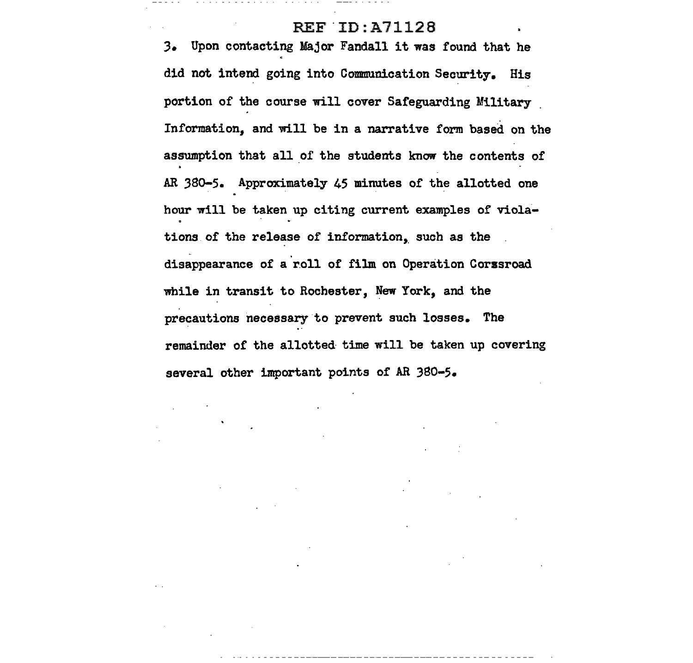## REF ID:A71128

*3.* Upon contacting Major Fandall it was found that he did not intend going into Communication Security. His portion of the course will cover Safeguarding Military Information, and will be in a narrative form based on the assumption that all of the students know the contents of AR 3so-5. Approximately 45 minutes of the allotted one hour will be taken up citing current examples of violations of the release of information, such as the disappearance of a roll of film on Operation Corssroad while in transit to Rochester, New York, and the precautions necessary to prevent such losses. The remainder of the allotted time will be taken up covering several other important points of AR 380-5.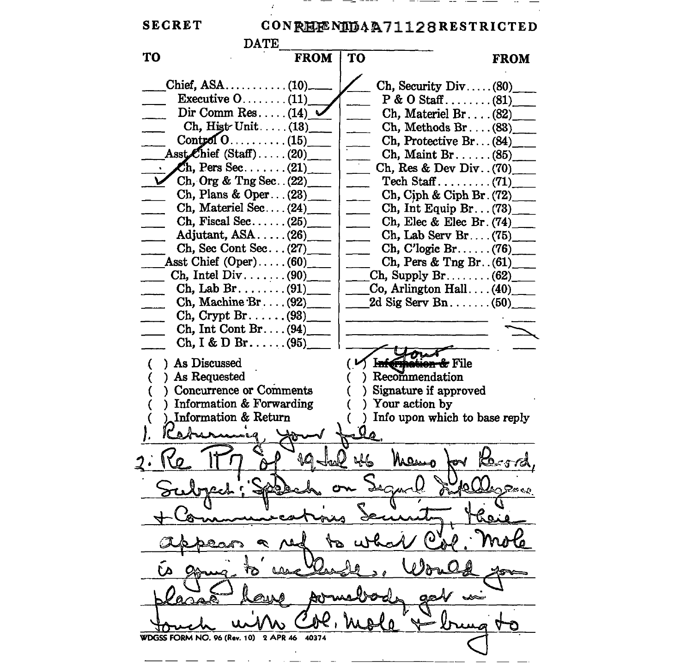SECRET CONREE NIDAA71128RESTRICTED  $\frac{F_{\text{F}}}{F_{\text{F}}}\frac{1}{F_{\text{F}}}\frac{1}{F_{\text{F}}}\frac{1}{F_{\text{F}}}\frac{1}{F_{\text{F}}}\frac{1}{F_{\text{F}}}\frac{1}{F_{\text{F}}}\frac{1}{F_{\text{F}}}\frac{1}{F_{\text{F}}}\frac{1}{F_{\text{F}}}\frac{1}{F_{\text{F}}}\frac{1}{F_{\text{F}}}\frac{1}{F_{\text{F}}}\frac{1}{F_{\text{F}}}\frac{1}{F_{\text{F}}}\frac{1}{F_{\text{F}}}\frac{1}{F_{\text{F}}}\frac{1}{F_{\text{$ TO  $Ch$ , Security Div ..... (80) Chief, ASA...  $(10)$ . Executive  $0$ ........ (11)  $P & O$  Staff........ (81) Dir Comm Res.... $(14)$ Ch, Materiel Br .... (82)\_ Ch, Hist Unit..... $(13)$  $Ch, Methods Br. \ldots (83)$  $\text{Cont}_{\mathbb{Z}}(0, \ldots, \ldots, (15))$  $Ch$ , Protective Br...  $(84)$ Asst $\ell$ hief (Staff)....(20)  $Ch,$  Maint Br...... (85)  $\cdot$  Ch, Pers Sec.......(21) \_ Ch, Res & Dev Div .. (70)\_ Ch, Org & Tng Sec.  $(22)$ Tech Staff..........  $(71)$ Ch, Plans & Oper... $(23)$ Ch, Ciph  $\&$  Ciph Br. (72) Ch, Materiel Sec... $(24)$ Ch, Int Equip Br.  $(73)$ Ch, Fiscal Sec.  $\dots$  (25) Ch, Elec & Elec Br. (74)\_ Adjutant,  $ASA$ ..... $(26)$ Ch, Lab Serv Br.... $(75)$ Ch, Sec Cont Sec... $(27)$ Ch, C'logic Br ...... (76)\_ Asst Chief  $(Oper) \ldots (60)$ Ch, Pers & Tng Br.  $(61)$ Ch, Intel Div.  $\ldots$  (90)  $Ch$ , Supply Br....... (62) Ch, Lab Br... $\ldots$ ...(91)  $Co$ , Arlington Hall  $\dots (40)$ Ch, Machine  $Br. \ldots (92)$  $2d$  Sig Serv Bn....... (50)  $Ch, Crypt Br. \ldots$ . (93)  $Ch, Int Cont Br. \ldots (94)$  $Ch, I & D Br. \ldots (95)$ As Discussed · File As Requested Recommendation <sup>)</sup> Concurrence or Comments Signature if approved Y. ) Information & Forwarding Your action by Information & Return Info upon which to base reply Jalen WDGSS FORM NO. 96 (Rev. 10) 2 APR 46 40374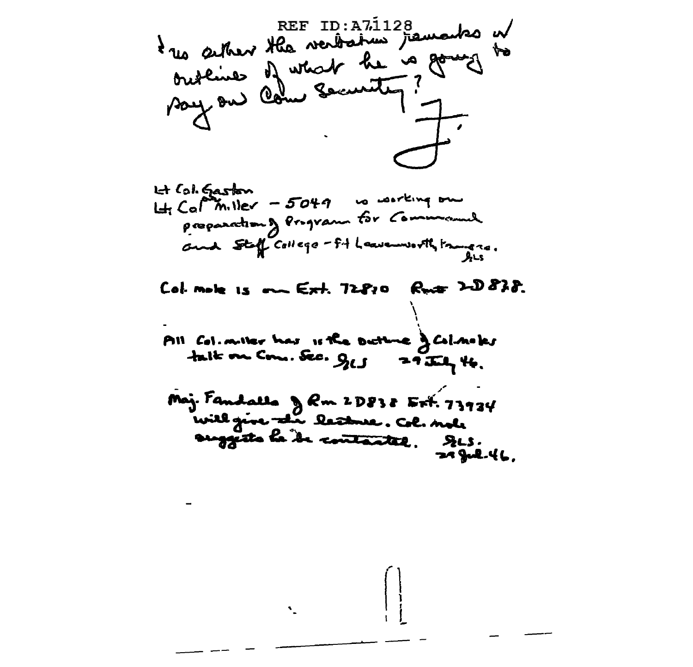t us seiter the verbation framents of **REF ID:A71128** ł

Lt Col. Gaston  $H_{\text{f}}$  Cal miller - 5049 va working one proponation of Program for Command and Steff College - 54 Leavenworth France.

Col. mole is our Ext. 72810 Rute 2D838.

All Col. miller has it the Dictime of Col. notes talk on Com. Sec. 915 29 July 46.

Maj. Fandallo & Rm 2D838 Ext. 73934 will give the leadure. Col. note suggests le de contantel. Des.  $24$  Jul. 46.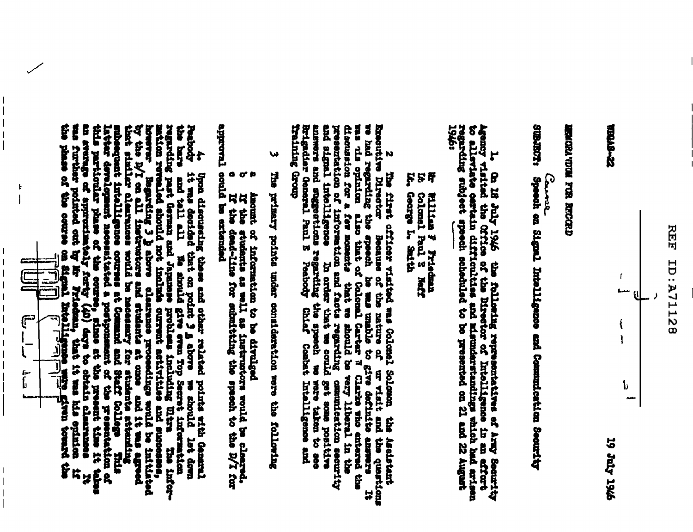



**9761 ADI 61** 

## **THE WARD IN THE RECORD**

カータウミ

Comal

**SUBJECT:** Speech on Signel Intelligence and Communication Security

1. On 18 July 1946 the following representatives of Army Security Agency visited the Office of the Director of Indian security of all offices of the Director of Indian security of all offices and the conduction and the con

F h William F Friedman<br>Colonel Paul S Nef is<br>A

ŗ George L. Saith

Expective Director Because of the nature of ur visit and the question we had regarding the speech he was used the speech be we unable to give definite answers the speech because the model of colonal Carter We Clarke to the discussion for a few moments that we should be very liberal in the presentation of information and facts regarding commutestion secure in the interligence in order that we could get some positive and find interligence in o droan Suruparn N The first officer visited was Golonel Solomon Litelligence see of make exer commulesticn security the Asstant che questions È. ă

W The primary points under consideration were the following

Amount of information to be divulged

 $\sigma$ If the students as well as instructors would be cleared. If the designation for enhancement of the part of the

approval could be extended  $\bullet$ 

As Genocy it was decussing these and other ralated points with densmilester of the form of the band of the second that an point 3 g above we should let down the densmit and the second give even in a mould let a model of t The infer-

 $\overline{\phantom{a}}$ 

 $\mathbf{f}$ 

ι

י<br>ה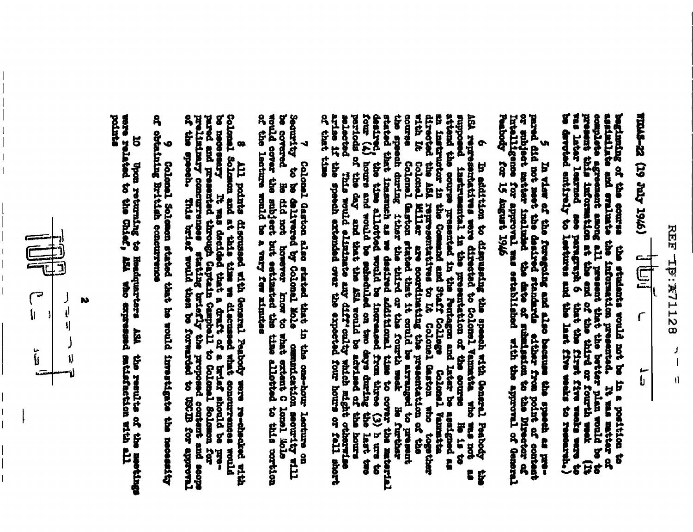

(9761 Aper 61) 22-SVDLA  $\mathbf{r}$ سە<br>ئا

assisialiate and ovaluate the information presented. It was matter of complete agreement among all present the between between plan would be to paragraph 6 that the first form the literature are paragraph 6 that the first bearing of the course the students would not be in a position to

pared did not meet the desired standards either from point of content Intelligence for approval was established with the approval of General Peabors for 15 August 1946 Ŵ In view of the feregoing and also because the speech as pre-

supposed instrumental in the presentation of the course Hs is to antiposed instruction in the presented in the presented in the Parketton of the course is it is to anticonded the self represented in the Command and Staff of that time selected This would eliminate any diff-culty which mignu occurries<br>arise if the speech extended over the expected four hours or fell short don ann ous retrained the sociology of personnel and the concretions is the person of the sociology of the society of the concern of the concern of the concern of the concern of the concern of the concern of the concern of ę E

be covered Ee did not however know to what extent C lonel Mole would cover the subject but estimated the time allotted to this cortion of the lecture would be a very few minutes Security Colonel Gaston also stated that in the one-hour leature on blo is derivered by colonel Mole Changestion security will

Colonal Solomon and at this the General Peabody were re-checked with Colonal Solomon and at this the we discussed what concurrences would pare or presented through Captain Campbell to Colonal Solomon for present presented

of obtaining British concurrence Ý Colonel Solomon stated that he would investigate the necessity

pointer 10 Upon returning to Headquarters ASA the results of the metalshage